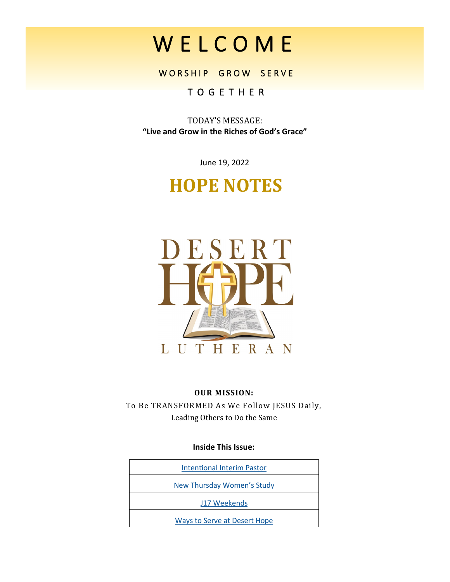W E L C O M E

WORSHIP GROW SERVE

## T O G E T H E R

TODAY'S MESSAGE: **"Live and Grow in the Riches of God's Grace"**

June 19, 2022

# **HOPE NOTES**



#### **OUR MISSION:**

To Be TRANSFORMED As We Follow JESUS Daily, Leading Others to Do the Same

#### **Inside This Issue:**

| <b>Intentional Interim Pastor</b>   |
|-------------------------------------|
| New Thursday Women's Study          |
| J17 Weekends                        |
| <b>Ways to Serve at Desert Hope</b> |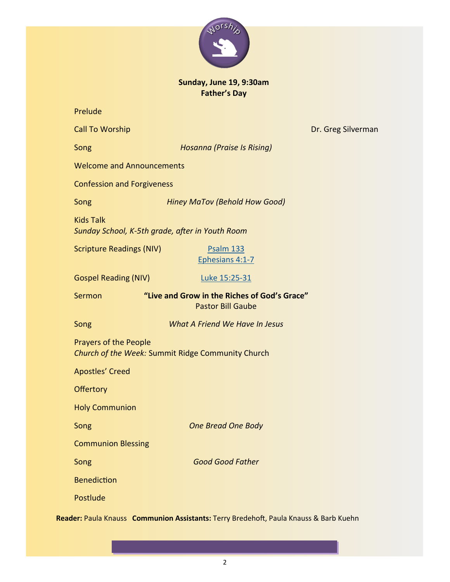

## **Sunday, June 19, 9:30am Father's Day**

| Prelude                                                                           |                                                                          |                    |  |  |
|-----------------------------------------------------------------------------------|--------------------------------------------------------------------------|--------------------|--|--|
| <b>Call To Worship</b>                                                            |                                                                          | Dr. Greg Silverman |  |  |
| Song                                                                              | <b>Hosanna (Praise Is Rising)</b>                                        |                    |  |  |
| <b>Welcome and Announcements</b>                                                  |                                                                          |                    |  |  |
| <b>Confession and Forgiveness</b>                                                 |                                                                          |                    |  |  |
| Song                                                                              | <b>Hiney MaTov (Behold How Good)</b>                                     |                    |  |  |
| <b>Kids Talk</b>                                                                  | Sunday School, K-5th grade, after in Youth Room                          |                    |  |  |
| <b>Scripture Readings (NIV)</b>                                                   | <b>Psalm 133</b><br>Ephesians 4:1-7                                      |                    |  |  |
| <b>Gospel Reading (NIV)</b>                                                       | Luke 15:25-31                                                            |                    |  |  |
| Sermon                                                                            | "Live and Grow in the Riches of God's Grace"<br><b>Pastor Bill Gaube</b> |                    |  |  |
| Song                                                                              | What A Friend We Have In Jesus                                           |                    |  |  |
| <b>Prayers of the People</b><br>Church of the Week: Summit Ridge Community Church |                                                                          |                    |  |  |
| <b>Apostles' Creed</b>                                                            |                                                                          |                    |  |  |
| <b>Offertory</b>                                                                  |                                                                          |                    |  |  |
| <b>Holy Communion</b>                                                             |                                                                          |                    |  |  |
| Song                                                                              | <b>One Bread One Body</b>                                                |                    |  |  |
| <b>Communion Blessing</b>                                                         |                                                                          |                    |  |  |
| Song                                                                              | <b>Good Good Father</b>                                                  |                    |  |  |
| <b>Benediction</b>                                                                |                                                                          |                    |  |  |
|                                                                                   |                                                                          |                    |  |  |
| Postlude                                                                          |                                                                          |                    |  |  |

**Reader:** Paula Knauss **Communion Assistants:** Terry Bredehoft, Paula Knauss & Barb Kuehn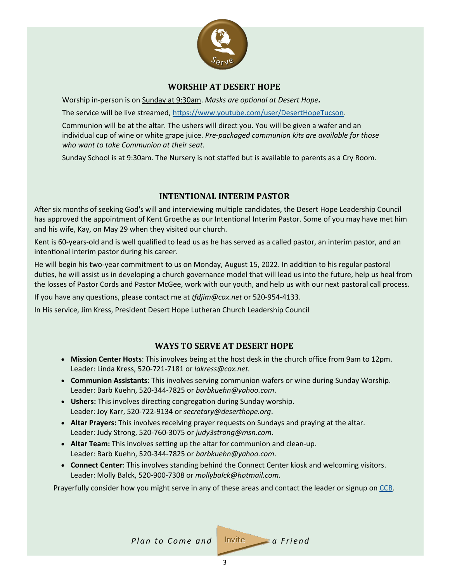

### **WORSHIP AT DESERT HOPE**

<span id="page-2-0"></span>Worship in-person is on Sunday at 9:30am. *Masks are optional at Desert Hope.*

The service will be live streamed, [https://www.youtube.com/user/DesertHopeTucson.](https://www.youtube.com/user/DesertHopeTucson)

Communion will be at the altar. The ushers will direct you. You will be given a wafer and an individual cup of wine or white grape juice. *Pre-packaged communion kits are available for those who want to take Communion at their seat.*

Sunday School is at 9:30am. The Nursery is not staffed but is available to parents as a Cry Room.

#### **INTENTIONAL INTERIM PASTOR**

After six months of seeking God's will and interviewing multiple candidates, the Desert Hope Leadership Council has approved the appointment of Kent Groethe as our Intentional Interim Pastor. Some of you may have met him and his wife, Kay, on May 29 when they visited our church.

Kent is 60-years-old and is well qualified to lead us as he has served as a called pastor, an interim pastor, and an intentional interim pastor during his career.

He will begin his two-year commitment to us on Monday, August 15, 2022. In addition to his regular pastoral duties, he will assist us in developing a church governance model that will lead us into the future, help us heal from the losses of Pastor Cords and Pastor McGee, work with our youth, and help us with our next pastoral call process.

If you have any questions, please contact me at *tfdjim@cox.net* or 520-954-4133.

In His service, Jim Kress, President Desert Hope Lutheran Church Leadership Council

#### **WAYS TO SERVE AT DESERT HOPE**

- **Mission Center Hosts**: This involves being at the host desk in the church office from 9am to 12pm. Leader: Linda Kress, 520-721-7181 or *lakress@cox.net.*
- **Communion Assistants**: This involves serving communion wafers or wine during Sunday Worship. Leader: Barb Kuehn, 520-344-7825 or *barbkuehn@yahoo.com*.
- **Ushers:** This involves directing congregation during Sunday worship. Leader: Joy Karr, 520-722-9134 or *secretary@deserthope.org*.
- **Altar Prayers:** This involves **r**eceiving prayer requests on Sundays and praying at the altar. Leader: Judy Strong, 520-760-3075 or *judy3strong@msn.com*.
- **Altar Team:** This involves setting up the altar for communion and clean-up. Leader: Barb Kuehn, 520-344-7825 or *barbkuehn@yahoo.com*.
- **Connect Center**: This involves standing behind the Connect Center kiosk and welcoming visitors. Leader: Molly Balck, 520-900-7308 or *mollybalck@hotmail.com.*

Prayerfully consider how you might serve in any of these areas and contact the leader or signup on [CCB.](https://deserthope.ccbchurch.com/goto/login)

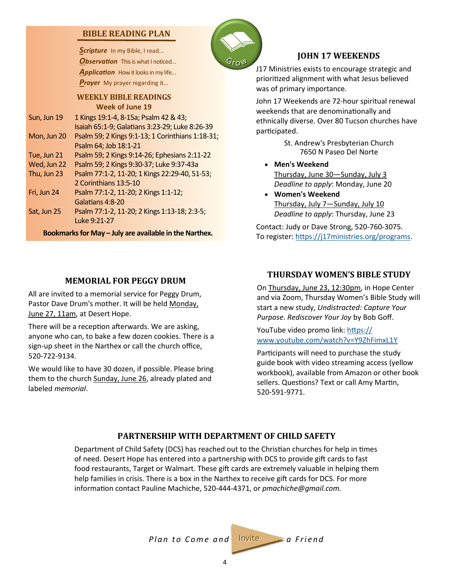### <span id="page-3-0"></span>**BIBLE READING PLAN**

Scripture In my Bible, I read... **Observation** This is what I noticed... Application How it looks in my life... *Prayer* My prayer regarding it...

**WEEKLY BIBLE READINGS Week of June 19**

Sun, Jun 19 1 Kings 19:1-4, 8-15a; Psalm 42 & 43; Isaiah 65:1-9; Galatians 3:23-29; Luke 8:26-39 Mon, Jun 20 Psalm 59; 2 Kings 9:1-13; 1 Corinthians 1:18-31; Psalm 64; Job 18:1-21 Tue, Jun 21 Psalm 59; 2 Kings 9:14-26; Ephesians 2:11-22 Wed, Jun 22 Psalm 59; 2 Kings 9:30-37; Luke 9:37-43a Thu, Jun 23 Psalm 77:1-2, 11-20; 1 Kings 22:29-40, 51-53;

2 Corinthians 13:5-10

Fri, Jun 24 Psalm 77:1-2, 11-20; 2 Kings 1:1-12; Galatians 4:8-20

Sat, Jun 25 Psalm 77:1-2, 11-20; 2 Kings 1:13-18; 2:3-5; Luke 9:21-27

**Bookmarks for May – July are available in the Narthex.**

## **MEMORIAL FOR PEGGY DRUM**

All are invited to a memorial service for Peggy Drum, Pastor Dave Drum's mother. It will be held Monday, June 27, 11am, at Desert Hope.

There will be a reception afterwards. We are asking, anyone who can, to bake a few dozen cookies. There is a sign-up sheet in the Narthex or call the church office, 520-722-9134.

We would like to have 30 dozen, if possible. Please bring them to the church Sunday, June 26, already plated and labeled *memorial*.



## **JOHN 17 WEEKENDS**

J17 Ministries exists to encourage strategic and prioritized alignment with what Jesus believed was of primary importance.

John 17 Weekends are 72-hour spiritual renewal weekends that are denominationally and ethnically diverse. Over 80 Tucson churches have participated.

> St. Andrew's Presbyterian Church 7650 N Paseo Del Norte

- **Men's Weekend** Thursday, June 30—Sunday, July 3 *Deadline to apply*: Monday, June 20
- **Women's Weekend** Thursday, July 7—Sunday, July 10 *Deadline to apply*: Thursday, June 23

Contact: Judy or Dave Strong, 520-760-3075. To register: [https://j17ministries.org/programs.](https://j17ministries.org/programs)

## **THURSDAY WOMEN'S BIBLE STUDY**

On Thursday, June 23, 12:30pm, in Hope Center and via Zoom, Thursday Women's Bible Study will start a new study, *Undistracted: Capture Your Purpose. Rediscover Your Joy* by Bob Goff.

YouTube video promo link: [https://](https://www.youtube.com/watch?v=Y9ZhFimxL1Y) [www.youtube.com/watch?v=Y9ZhFimxL1Y](https://www.youtube.com/watch?v=Y9ZhFimxL1Y)

Participants will need to purchase the study guide book with video streaming access (yellow workbook), available from Amazon or other book sellers. Questions? Text or call Amy Martin, 520-591-9771.

### **PARTNERSHIP WITH DEPARTMENT OF CHILD SAFETY**

Department of Child Safety (DCS) has reached out to the Christian churches for help in times of need. Desert Hope has entered into a partnership with DCS to provide gift cards to fast food restaurants, Target or Walmart. These gift cards are extremely valuable in helping them help families in crisis. There is a box in the Narthex to receive gift cards for DCS. For more information contact Pauline Machiche, 520-444-4371, or *pmachiche@gmail.com.*

*Plan to Come and* Invite a Friend

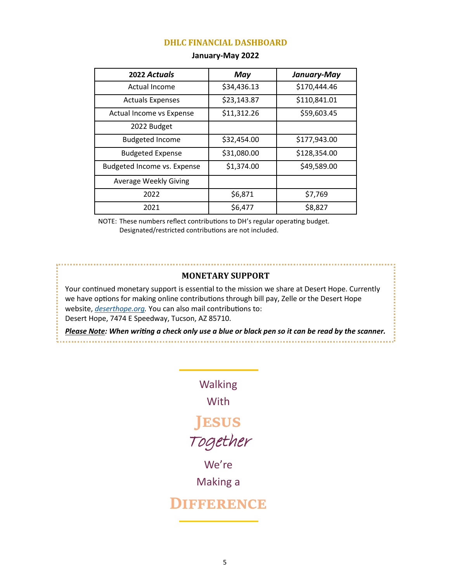#### **DHLC FINANCIAL DASHBOARD**

| 2022 Actuals                 | May         | January-May  |
|------------------------------|-------------|--------------|
| Actual Income                | \$34,436.13 | \$170,444.46 |
| <b>Actuals Expenses</b>      | \$23,143.87 | \$110,841.01 |
| Actual Income vs Expense     | \$11,312.26 | \$59,603.45  |
| 2022 Budget                  |             |              |
| <b>Budgeted Income</b>       | \$32,454.00 | \$177,943.00 |
| <b>Budgeted Expense</b>      | \$31,080.00 | \$128,354.00 |
| Budgeted Income vs. Expense  | \$1,374.00  | \$49,589.00  |
| <b>Average Weekly Giving</b> |             |              |
| 2022                         | \$6,871     | \$7,769      |
| 2021                         | \$6,477     | \$8,827      |

#### **January-May 2022**

NOTE: These numbers reflect contributions to DH's regular operating budget. Designated/restricted contributions are not included.

#### **MONETARY SUPPORT**

Your continued monetary support is essential to the mission we share at Desert Hope. Currently we have options for making online contributions through bill pay, Zelle or the Desert Hope website, *[deserthope.org.](http://www.deserthope.org)* You can also mail contributions to: Desert Hope, 7474 E Speedway, Tucson, AZ 85710.

*Please Note: When writing a check only use a blue or black pen so it can be read by the scanner.* 

> Walking **With Jesus** Together We're

> > Making a

## **Difference**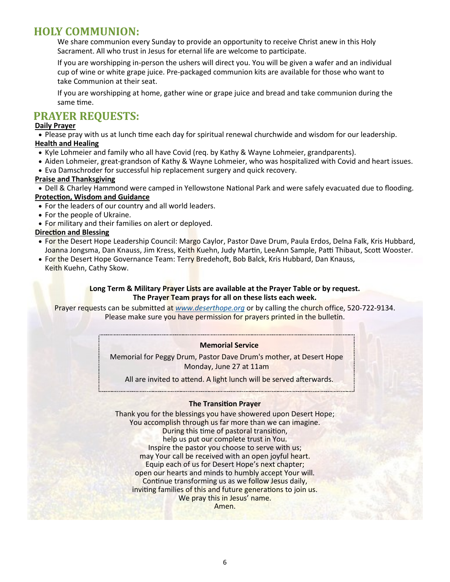## **HOLY COMMUNION:**

We share communion every Sunday to provide an opportunity to receive Christ anew in this Holy Sacrament. All who trust in Jesus for eternal life are welcome to participate.

If you are worshipping in-person the ushers will direct you. You will be given a wafer and an individual cup of wine or white grape juice. Pre-packaged communion kits are available for those who want to take Communion at their seat.

If you are worshipping at home, gather wine or grape juice and bread and take communion during the same time.

## **PRAYER REQUESTS:**

#### **Daily Prayer**

• Please pray with us at lunch time each day for spiritual renewal churchwide and wisdom for our leadership. **Health and Healing**

- Kyle Lohmeier and family who all have Covid (req. by Kathy & Wayne Lohmeier, grandparents).
- Aiden Lohmeier, great-grandson of Kathy & Wayne Lohmeier, who was hospitalized with Covid and heart issues.
- Eva Damschroder for successful hip replacement surgery and quick recovery.

#### **Praise and Thanksgiving**

• Dell & Charley Hammond were camped in Yellowstone National Park and were safely evacuated due to flooding. **Protection, Wisdom and Guidance**

- For the leaders of our country and all world leaders.
- For the people of Ukraine.
- For military and their families on alert or deployed.

#### **Direction and Blessing**

- For the Desert Hope Leadership Council: Margo Caylor, Pastor Dave Drum, Paula Erdos, Delna Falk, Kris Hubbard, Joanna Jongsma, Dan Knauss, Jim Kress, Keith Kuehn, Judy Martin, LeeAnn Sample, Patti Thibaut, Scott Wooster.
- For the Desert Hope Governance Team: Terry Bredehoft, Bob Balck, Kris Hubbard, Dan Knauss,
- Keith Kuehn, Cathy Skow.

#### **Long Term & Military Prayer Lists are available at the Prayer Table or by request. The Prayer Team prays for all on these lists each week.**

Prayer requests can be submitted at *[www.deserthope.org](http://www.deserthope.org)* or by calling the church office, 520-722-9134. Please make sure you have permission for prayers printed in the bulletin.

#### **Memorial Service**

Memorial for Peggy Drum, Pastor Dave Drum's mother, at Desert Hope Monday, June 27 at 11am

All are invited to attend. A light lunch will be served afterwards.

#### **The Transition Prayer**

Thank you for the blessings you have showered upon Desert Hope; You accomplish through us far more than we can imagine. During this time of pastoral transition, help us put our complete trust in You. Inspire the pastor you choose to serve with us; may Your call be received with an open joyful heart. Equip each of us for Desert Hope's next chapter; open our hearts and minds to humbly accept Your will. Continue transforming us as we follow Jesus daily, inviting families of this and future generations to join us. We pray this in Jesus' name. Amen.